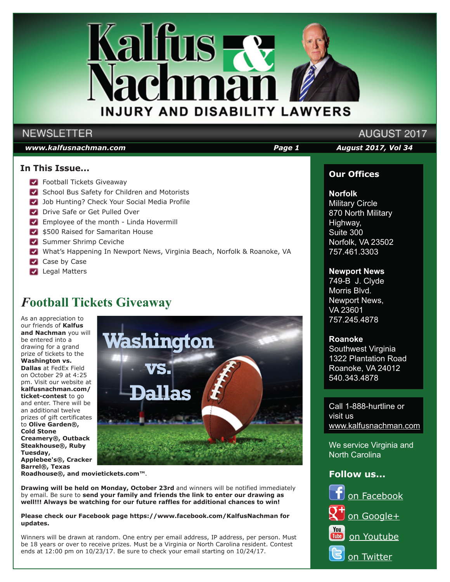

### **NEWSLETTER**

### *www.kalfusnachman.com Page 1 August 2017, Vol 34*

### **In This Issue...**

- **Football Tickets Giveaway**
- School Bus Safety for Children and Motorists
- **Job Hunting? Check Your Social Media Profile**
- **Drive Safe or Get Pulled Over**
- **Employee of the month Linda Hovermill**
- \$500 Raised for Samaritan House
- Summer Shrimp Ceviche
- What's Happening In Newport News, Virginia Beach, Norfolk & Roanoke, VA
- Case by Case
- **Legal Matters**

### *F***ootball Tickets Giveaway**

As an appreciation to our friends of **Kalfus and Nachman** you will be entered into a drawing for a grand prize of tickets to the **Washington vs. Dallas** at FedEx Field on October 29 at 4:25 pm. Visit our website at **kalfusnachman.com/ ticket-contest** to go and enter. There will be an additional twelve prizes of gift certificates to **Olive Garden®, Cold Stone Creamery®, Outback Steakhouse®, Ruby Tuesday, Applebee's®, Cracker Barrel®, Texas** 



**Roadhouse®, and movietickets.com™**.

**Drawing will be held on Monday, October 23rd** and winners will be notified immediately by email. Be sure to **send your family and friends the link to enter our drawing as well!!! Always be watching for our future raffles for additional chances to win!**

#### **Please check our Facebook page https://www.facebook.com/KalfusNachman for updates.**

Winners will be drawn at random. One entry per email address, IP address, per person. Must be 18 years or over to receive prizes. Must be a Virginia or North Carolina resident. Contest ends at 12:00 pm on 10/23/17. Be sure to check your email starting on 10/24/17.

# AUGUST 2017

### **Our Offices**

### **Norfolk**

Military Circle 870 North Military Highway, Suite 300 Norfolk, VA 23502 757.461.3303

### **Newport News**

749-B J. Clyde Morris Blvd. Newport News, VA 23601 757.245.4878

### **Roanoke**

Southwest Virginia 1322 Plantation Road Roanoke, VA 24012 540.343.4878

Call 1-888-hurtline or visit us www.kalfusnachman.com

We service Virginia and North Carolina

### **Follow us...**

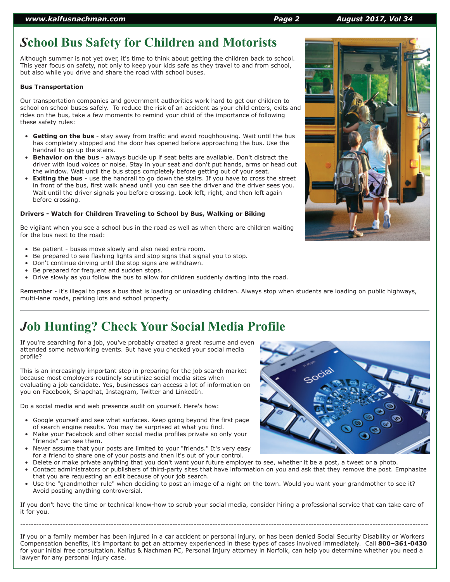## *S***chool Bus Safety for Children and Motorists**

Although summer is not yet over, it's time to think about getting the children back to school. This year focus on safety, not only to keep your kids safe as they travel to and from school, but also while you drive and share the road with school buses.

### **Bus Transportation**

Our transportation companies and government authorities work hard to get our children to school on school buses safely. To reduce the risk of an accident as your child enters, exits and rides on the bus, take a few moments to remind your child of the importance of following these safety rules:

- **Getting on the bus** stay away from traffic and avoid roughhousing. Wait until the bus has completely stopped and the door has opened before approaching the bus. Use the handrail to go up the stairs.
- **Behavior on the bus** always buckle up if seat belts are available. Don't distract the driver with loud voices or noise. Stay in your seat and don't put hands, arms or head out the window. Wait until the bus stops completely before getting out of your seat.
- **Exiting the bus** use the handrail to go down the stairs. If you have to cross the street in front of the bus, first walk ahead until you can see the driver and the driver sees you. Wait until the driver signals you before crossing. Look left, right, and then left again before crossing.

### **Drivers - Watch for Children Traveling to School by Bus, Walking or Biking**

Be vigilant when you see a school bus in the road as well as when there are children waiting for the bus next to the road:

- Be patient buses move slowly and also need extra room.
- Be prepared to see flashing lights and stop signs that signal you to stop.
- Don't continue driving until the stop signs are withdrawn.
- Be prepared for frequent and sudden stops.
- Drive slowly as you follow the bus to allow for children suddenly darting into the road.

Remember - it's illegal to pass a bus that is loading or unloading children. Always stop when students are loading on public highways, multi-lane roads, parking lots and school property.

## *J***ob Hunting? Check Your Social Media Profile**

If you're searching for a job, you've probably created a great resume and even attended some networking events. But have you checked your social media profile?

This is an increasingly important step in preparing for the job search market because most employers routinely scrutinize social media sites when evaluating a job candidate. Yes, businesses can access a lot of information on you on Facebook, Snapchat, Instagram, Twitter and LinkedIn.

Do a social media and web presence audit on yourself. Here's how:

- Google yourself and see what surfaces. Keep going beyond the first page of search engine results. You may be surprised at what you find.
- Make your Facebook and other social media profiles private so only your "friends" can see them.
- Never assume that your posts are limited to your "friends." It's very easy for a friend to share one of your posts and then it's out of your control.
- Delete or make private anything that you don't want your future employer to see, whether it be a post, a tweet or a photo.
- Contact administrators or publishers of third-party sites that have information on you and ask that they remove the post. Emphasize that you are requesting an edit because of your job search.
- Use the "grandmother rule" when deciding to post an image of a night on the town. Would you want your grandmother to see it? Avoid posting anything controversial.

If you don't have the time or technical know-how to scrub your social media, consider hiring a professional service that can take care of it for you.

---------------------------------------------------------------------------------------------------------------------------------------------------------

If you or a family member has been injured in a car accident or personal injury, or has been denied Social Security Disability or Workers Compensation benefits, it's important to get an attorney experienced in these types of cases involved immediately. Call **800–361-0430** for your initial free consultation. Kalfus & Nachman PC, Personal Injury attorney in Norfolk, can help you determine whether you need a lawyer for any personal injury case.



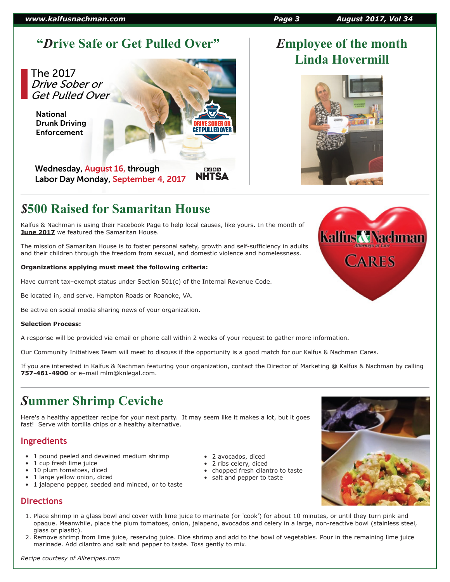### *www.kalfusnachman.com Page 3 August 2017, Vol 34*

### **"***D***rive Safe or Get Pulled Over"** *E***mployee of the month**

The 2017 Drive Sober or Get Pulled Over

National Drunk Driving Enforcement

Wednesday, August 16, through Labor Day Monday, September 4, 2017

### *\$***500 Raised for Samaritan House**

Kalfus & Nachman is using their Facebook Page to help local causes, like yours. In the month of **June 2017** we featured the Samaritan House.

The mission of Samaritan House is to foster personal safety, growth and self-sufficiency in adults and their children through the freedom from sexual, and domestic violence and homelessness.

### **Organizations applying must meet the following criteria:**

Have current tax–exempt status under Section 501(c) of the Internal Revenue Code.

Be located in, and serve, Hampton Roads or Roanoke, VA.

Be active on social media sharing news of your organization.

### **Selection Process:**

A response will be provided via email or phone call within 2 weeks of your request to gather more information.

Our Community Initiatives Team will meet to discuss if the opportunity is a good match for our Kalfus & Nachman Cares.

**GET PULLED OVER** 

⊕ ≴ A ☆ **NHTSA** 

If you are interested in Kalfus & Nachman featuring your organization, contact the Director of Marketing @ Kalfus & Nachman by calling **757-461-4900** or e–mail mlm@knlegal.com.

### *S***ummer Shrimp Ceviche**

Here's a healthy appetizer recipe for your next party. It may seem like it makes a lot, but it goes fast! Serve with tortilla chips or a healthy alternative.

### **Ingredients**

- 1 pound peeled and deveined medium shrimp
- 1 cup fresh lime juice
- 10 plum tomatoes, diced
- 1 large yellow onion, diced
- 1 jalapeno pepper, seeded and minced, or to taste

### **Directions**

- 1. Place shrimp in a glass bowl and cover with lime juice to marinate (or 'cook') for about 10 minutes, or until they turn pink and opaque. Meanwhile, place the plum tomatoes, onion, jalapeno, avocados and celery in a large, non-reactive bowl (stainless steel, glass or plastic).
- 2. Remove shrimp from lime juice, reserving juice. Dice shrimp and add to the bowl of vegetables. Pour in the remaining lime juice marinade. Add cilantro and salt and pepper to taste. Toss gently to mix.



- chopped fresh cilantro to taste
- salt and pepper to taste